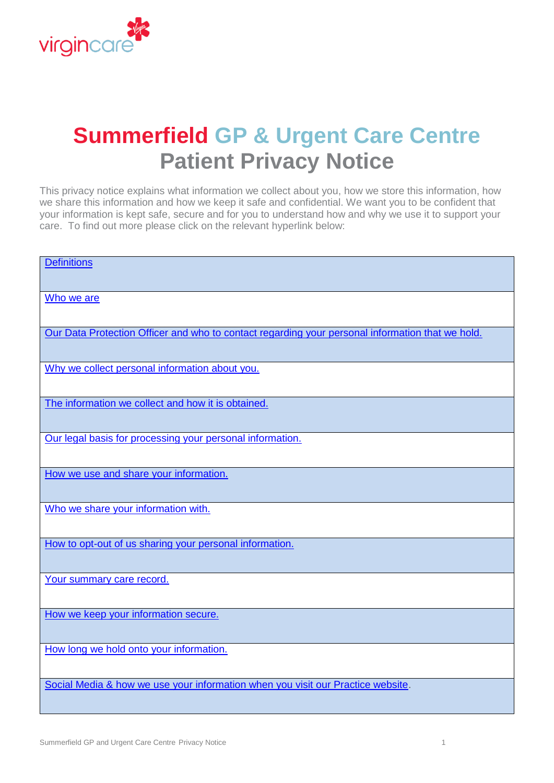

# <span id="page-0-0"></span>**Summerfield GP & Urgent Care Centre Patient Privacy Notice**

This privacy notice explains what information we collect about you, how we store this information, how we share this information and how we keep it safe and confidential. We want you to be confident that your information is kept safe, secure and for you to understand how and why we use it to support your care. To find out more please click on the relevant hyperlink below:

| <b>Definitions</b>                                                                               |
|--------------------------------------------------------------------------------------------------|
|                                                                                                  |
| Who we are                                                                                       |
|                                                                                                  |
| Our Data Protection Officer and who to contact regarding your personal information that we hold. |
| Why we collect personal information about you.                                                   |
| The information we collect and how it is obtained.                                               |
|                                                                                                  |
| Our legal basis for processing your personal information.                                        |
| How we use and share your information.                                                           |
|                                                                                                  |
| Who we share your information with.                                                              |
| How to opt-out of us sharing your personal information.                                          |
|                                                                                                  |
| Your summary care record.                                                                        |
| How we keep your information secure.                                                             |
|                                                                                                  |
| How long we hold onto your information.                                                          |
| Social Media & how we use your information when you visit our Practice website.                  |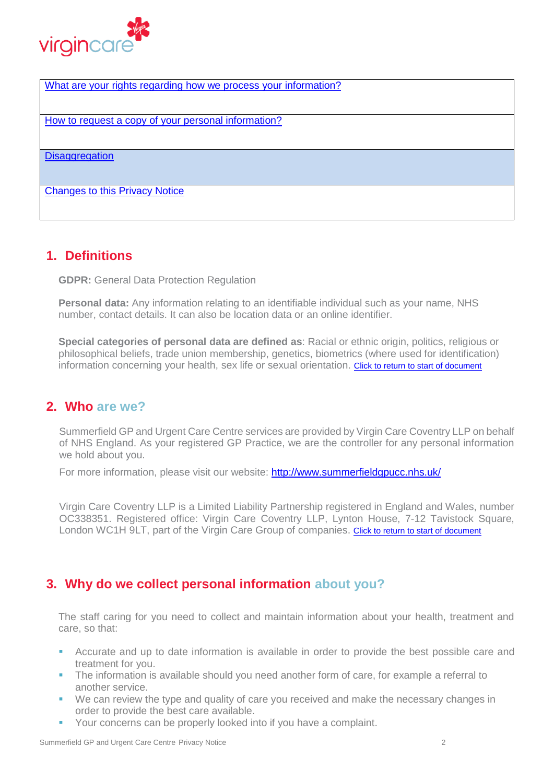<span id="page-1-0"></span>

[What are your rights regarding how we process your information?](#page-10-0)

[How to request a copy of your personal information?](#page-11-1)

**[Disaggregation](#page-12-0)** 

[Changes to this Privacy Notice](#page-12-1)

### **1. Definitions**

**GDPR:** General Data Protection Regulation

**Personal data:** Any information relating to an identifiable individual such as your name, NHS number, contact details. It can also be location data or an online identifier.

**Special categories of personal data are defined as**: Racial or ethnic origin, politics, religious or philosophical beliefs, trade union membership, genetics, biometrics (where used for identification) information concerning your health, sex life or sexual orientation. Click to return to start of document

### <span id="page-1-1"></span>**2. Who are we?**

Summerfield GP and Urgent Care Centre services are provided by Virgin Care Coventry LLP on behalf of NHS England. As your registered GP Practice, we are the controller for any personal information we hold about you.

For more information, please visit our website:<http://www.summerfieldgpucc.nhs.uk/>

Virgin Care Coventry LLP is a Limited Liability Partnership registered in England and Wales, number OC338351. Registered office: Virgin Care Coventry LLP, Lynton House, 7-12 Tavistock Square, London WC1H 9LT, part of the Virgin Care Group of companies. Click to return to start of document

### <span id="page-1-2"></span>**3. Why do we collect personal information about you?**

The staff caring for you need to collect and maintain information about your health, treatment and care, so that:

- Accurate and up to date information is available in order to provide the best possible care and treatment for you.
- The information is available should you need another form of care, for example a referral to another service.
- We can review the type and quality of care you received and make the necessary changes in order to provide the best care available.
- Your concerns can be properly looked into if you have a complaint.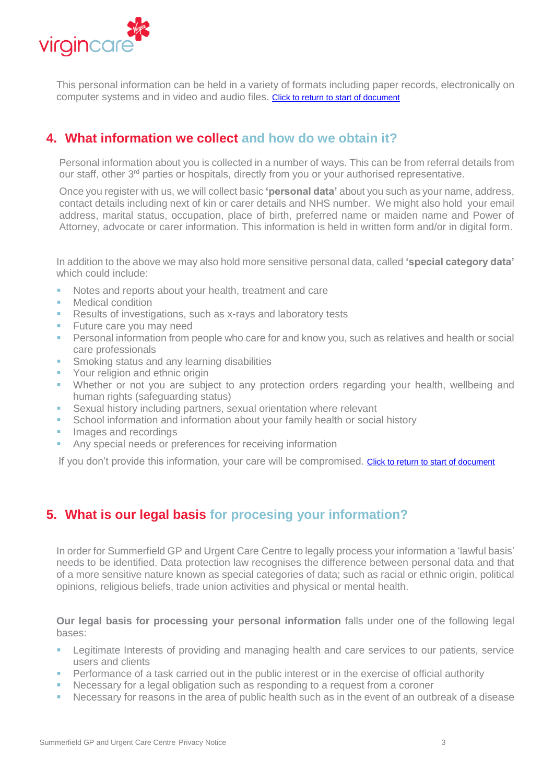

This personal information can be held in a variety of formats including paper records, electronically on computer systems and in video and audio files. Click to return to start of document

### <span id="page-2-0"></span>**4. What information we collect and how do we obtain it?**

Personal information about you is collected in a number of ways. This can be from referral details from our staff, other 3<sup>rd</sup> parties or hospitals, directly from you or your authorised representative.

Once you register with us, we will collect basic **'personal data'** about you such as your name, address, contact details including next of kin or carer details and NHS number. We might also hold your email address, marital status, occupation, place of birth, preferred name or maiden name and Power of Attorney, advocate or carer information. This information is held in written form and/or in digital form.

In addition to the above we may also hold more sensitive personal data, called **'special category data'**  which could include:

- Notes and reports about your health, treatment and care
- Medical condition
- Results of investigations, such as x-rays and laboratory tests
- Future care you may need
- **Personal information from people who care for and know you, such as relatives and health or social** care professionals
- Smoking status and any learning disabilities
- **Your religion and ethnic origin**
- Whether or not you are subject to any protection orders regarding your health, wellbeing and human rights (safeguarding status)
- Sexual history including partners, sexual orientation where relevant
- School information and information about your family health or social history
- Images and recordings
- Any special needs or preferences for receiving information

If you don't provide this information, your care will be compromised. Click to return to start of document

### <span id="page-2-1"></span>**5. What is our legal basis for procesing your information?**

In order for Summerfield GP and Urgent Care Centre to legally process your information a 'lawful basis' needs to be identified. Data protection law recognises the difference between personal data and that of a more sensitive nature known as special categories of data; such as racial or ethnic origin, political opinions, religious beliefs, trade union activities and physical or mental health.

**Our legal basis for processing your personal information** falls under one of the following legal bases:

- Legitimate Interests of providing and managing health and care services to our patients, service users and clients
- **Performance of a task carried out in the public interest or in the exercise of official authority**
- Necessary for a legal obligation such as responding to a request from a coroner
- Necessary for reasons in the area of public health such as in the event of an outbreak of a disease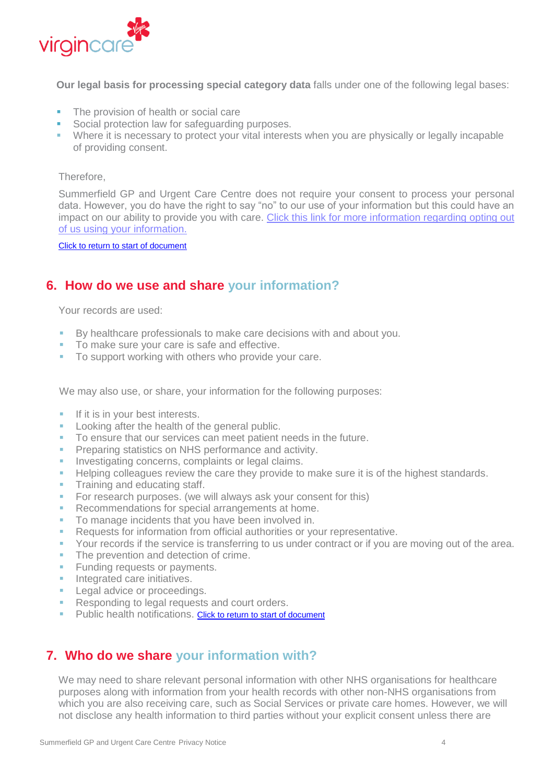

**Our legal basis for processing special category data** falls under one of the following legal bases:

- The provision of health or social care
- Social protection law for safeguarding purposes.
- Where it is necessary to protect your vital interests when you are physically or legally incapable of providing consent.

#### Therefore,

Summerfield GP and Urgent Care Centre does not require your consent to process your personal data. However, you do have the right to say "no" to our use of your information but this could have an impact on our ability to provide you with care. Click this link for more information regarding opting out [of us using your information.](#page-6-0)

[Click to return to start of document](#page-0-0) 

### <span id="page-3-0"></span>**6. How do we use and share your information?**

Your records are used:

- By healthcare professionals to make care decisions with and about you.
- To make sure your care is safe and effective.
- To support working with others who provide your care.

We may also use, or share, your information for the following purposes:

- If it is in your best interests.
- Looking after the health of the general public.
- To ensure that our services can meet patient needs in the future.
- Preparing statistics on NHS performance and activity.
- Investigating concerns, complaints or legal claims.
- Helping colleagues review the care they provide to make sure it is of the highest standards.
- Training and educating staff.
- For research purposes. (we will always ask your consent for this)
- Recommendations for special arrangements at home.
- To manage incidents that you have been involved in.
- Requests for information from official authorities or your representative.
- Your records if the service is transferring to us under contract or if you are moving out of the area.
- The prevention and detection of crime.
- **Funding requests or payments.**
- **Integrated care initiatives.**
- **Legal advice or proceedings.**
- Responding to legal requests and court orders.
- <span id="page-3-1"></span>**Public health notifications. [Click to return to start of document](#page-0-0)**

### **7. Who do we share your information with?**

We may need to share relevant personal information with other NHS organisations for healthcare purposes along with information from your health records with other non-NHS organisations from which you are also receiving care, such as Social Services or private care homes. However, we will not disclose any health information to third parties without your explicit consent unless there are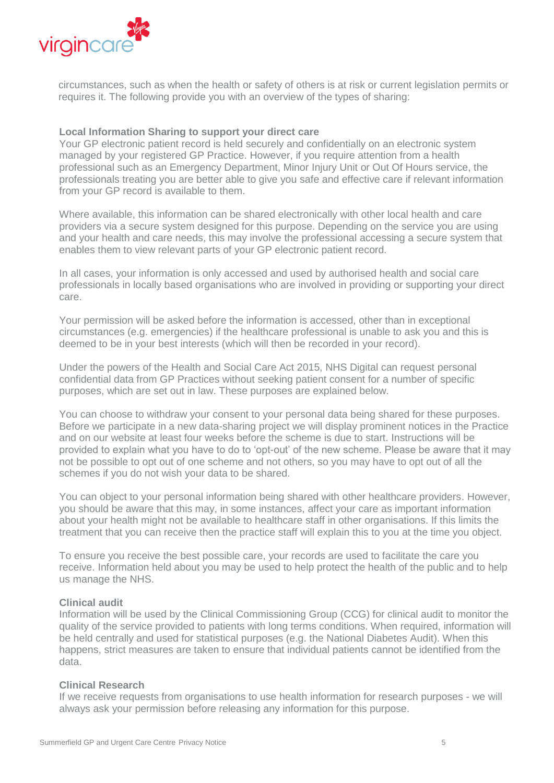

circumstances, such as when the health or safety of others is at risk or current legislation permits or requires it. The following provide you with an overview of the types of sharing:

#### **Local Information Sharing to support your direct care**

Your GP electronic patient record is held securely and confidentially on an electronic system managed by your registered GP Practice. However, if you require attention from a health professional such as an Emergency Department, Minor Injury Unit or Out Of Hours service, the professionals treating you are better able to give you safe and effective care if relevant information from your GP record is available to them.

Where available, this information can be shared electronically with other local health and care providers via a secure system designed for this purpose. Depending on the service you are using and your health and care needs, this may involve the professional accessing a secure system that enables them to view relevant parts of your GP electronic patient record.

In all cases, your information is only accessed and used by authorised health and social care professionals in locally based organisations who are involved in providing or supporting your direct care.

Your permission will be asked before the information is accessed, other than in exceptional circumstances (e.g. emergencies) if the healthcare professional is unable to ask you and this is deemed to be in your best interests (which will then be recorded in your record).

Under the powers of the Health and Social Care Act 2015, NHS Digital can request personal confidential data from GP Practices without seeking patient consent for a number of specific purposes, which are set out in law. These purposes are explained below.

You can choose to withdraw your consent to your personal data being shared for these purposes. Before we participate in a new data-sharing project we will display prominent notices in the Practice and on our website at least four weeks before the scheme is due to start. Instructions will be provided to explain what you have to do to 'opt-out' of the new scheme. Please be aware that it may not be possible to opt out of one scheme and not others, so you may have to opt out of all the schemes if you do not wish your data to be shared.

You can object to your personal information being shared with other healthcare providers. However, you should be aware that this may, in some instances, affect your care as important information about your health might not be available to healthcare staff in other organisations. If this limits the treatment that you can receive then the practice staff will explain this to you at the time you object.

To ensure you receive the best possible care, your records are used to facilitate the care you receive. Information held about you may be used to help protect the health of the public and to help us manage the NHS.

#### **Clinical audit**

Information will be used by the Clinical Commissioning Group (CCG) for clinical audit to monitor the quality of the service provided to patients with long terms conditions. When required, information will be held centrally and used for statistical purposes (e.g. the National Diabetes Audit). When this happens, strict measures are taken to ensure that individual patients cannot be identified from the data.

#### **Clinical Research**

If we receive requests from organisations to use health information for research purposes - we will always ask your permission before releasing any information for this purpose.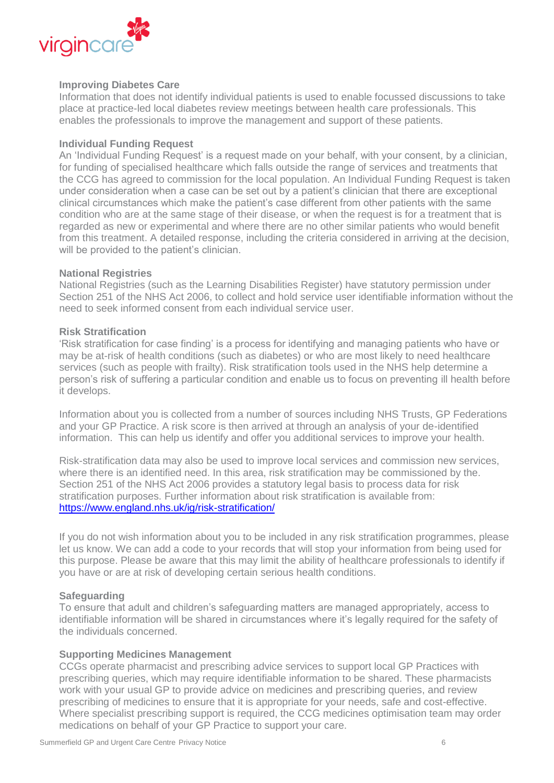

#### **Improving Diabetes Care**

Information that does not identify individual patients is used to enable focussed discussions to take place at practice-led local diabetes review meetings between health care professionals. This enables the professionals to improve the management and support of these patients.

#### **Individual Funding Request**

An 'Individual Funding Request' is a request made on your behalf, with your consent, by a clinician, for funding of specialised healthcare which falls outside the range of services and treatments that the CCG has agreed to commission for the local population. An Individual Funding Request is taken under consideration when a case can be set out by a patient's clinician that there are exceptional clinical circumstances which make the patient's case different from other patients with the same condition who are at the same stage of their disease, or when the request is for a treatment that is regarded as new or experimental and where there are no other similar patients who would benefit from this treatment. A detailed response, including the criteria considered in arriving at the decision, will be provided to the patient's clinician.

#### **National Registries**

National Registries (such as the Learning Disabilities Register) have statutory permission under Section 251 of the NHS Act 2006, to collect and hold service user identifiable information without the need to seek informed consent from each individual service user.

#### **Risk Stratification**

'Risk stratification for case finding' is a process for identifying and managing patients who have or may be at-risk of health conditions (such as diabetes) or who are most likely to need healthcare services (such as people with frailty). Risk stratification tools used in the NHS help determine a person's risk of suffering a particular condition and enable us to focus on preventing ill health before it develops.

Information about you is collected from a number of sources including NHS Trusts, GP Federations and your GP Practice. A risk score is then arrived at through an analysis of your de-identified information. This can help us identify and offer you additional services to improve your health.

Risk-stratification data may also be used to improve local services and commission new services, where there is an identified need. In this area, risk stratification may be commissioned by the. Section 251 of the NHS Act 2006 provides a statutory legal basis to process data for risk stratification purposes. Further information about risk stratification is available from: <https://www.england.nhs.uk/ig/risk-stratification/>

If you do not wish information about you to be included in any risk stratification programmes, please let us know. We can add a code to your records that will stop your information from being used for this purpose. Please be aware that this may limit the ability of healthcare professionals to identify if you have or are at risk of developing certain serious health conditions.

#### **Safeguarding**

To ensure that adult and children's safeguarding matters are managed appropriately, access to identifiable information will be shared in circumstances where it's legally required for the safety of the individuals concerned.

#### **Supporting Medicines Management**

CCGs operate pharmacist and prescribing advice services to support local GP Practices with prescribing queries, which may require identifiable information to be shared. These pharmacists work with your usual GP to provide advice on medicines and prescribing queries, and review prescribing of medicines to ensure that it is appropriate for your needs, safe and cost-effective. Where specialist prescribing support is required, the CCG medicines optimisation team may order medications on behalf of your GP Practice to support your care.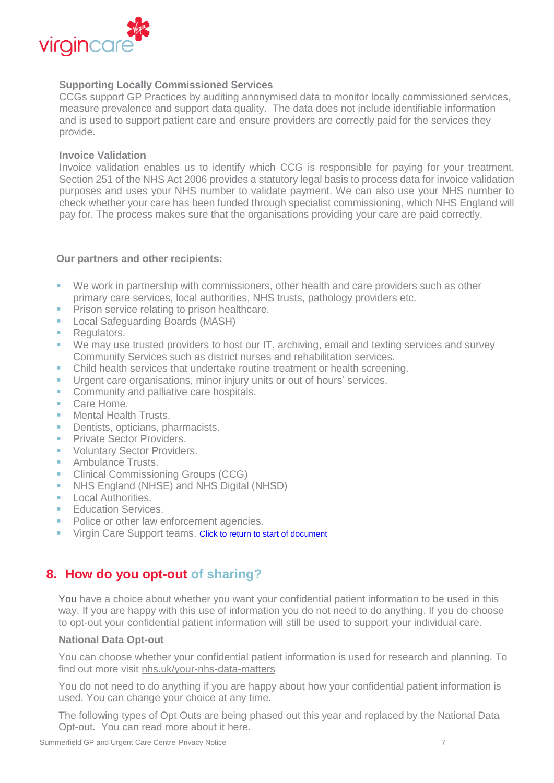

#### **Supporting Locally Commissioned Services**

CCGs support GP Practices by auditing anonymised data to monitor locally commissioned services, measure prevalence and support data quality. The data does not include identifiable information and is used to support patient care and ensure providers are correctly paid for the services they provide.

#### **Invoice Validation**

Invoice validation enables us to identify which CCG is responsible for paying for your treatment. Section 251 of the NHS Act 2006 provides a statutory legal basis to process data for invoice validation purposes and uses your NHS number to validate payment. We can also use your NHS number to check whether your care has been funded through specialist commissioning, which NHS England will pay for. The process makes sure that the organisations providing your care are paid correctly.

#### **Our partners and other recipients:**

- We work in partnership with commissioners, other health and care providers such as other primary care services, local authorities, NHS trusts, pathology providers etc.
- **Prison service relating to prison healthcare.**
- **Local Safeguarding Boards (MASH)**
- Regulators.
- We may use trusted providers to host our IT, archiving, email and texting services and survey Community Services such as district nurses and rehabilitation services.
- Child health services that undertake routine treatment or health screening.
- Urgent care organisations, minor injury units or out of hours' services.
- **Community and palliative care hospitals.**
- Care Home.
- Mental Health Trusts.
- **Dentists, opticians, pharmacists.**
- Private Sector Providers.
- **Voluntary Sector Providers.**
- **Ambulance Trusts.**
- **Clinical Commissioning Groups (CCG)**
- NHS England (NHSE) and NHS Digital (NHSD)
- **Local Authorities.**
- **F**ducation Services.
- Police or other law enforcement agencies.
- <span id="page-6-0"></span>Virgin Care Support teams. [Click to return to start of document](#page-0-0)

### **8. How do you opt-out of sharing?**

You have a choice about whether you want your confidential patient information to be used in this way. If you are happy with this use of information you do not need to do anything. If you do choose to opt-out your confidential patient information will still be used to support your individual care.

#### **National Data Opt-out**

You can choose whether your confidential patient information is used for research and planning. To find out more visit [nhs.uk/your-nhs-data-matters](http://nhs.uk/your-nhs-data-matters)

You do not need to do anything if you are happy about how your confidential patient information is used. You can change your choice at any time.

The following types of Opt Outs are being phased out this year and replaced by the National Data Opt-out. You can read more about it [here.](https://digital.nhs.uk/services/national-data-opt-out-programme)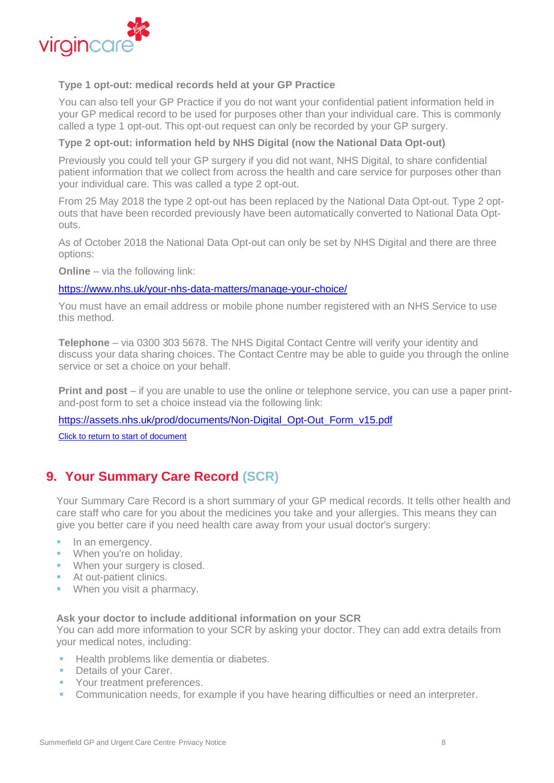

#### **Type 1 opt-out: medical records held at your GP Practice**

You can also tell your GP Practice if you do not want your confidential patient information held in your GP medical record to be used for purposes other than your individual care. This is commonly called a type 1 opt-out. This opt-out request can only be recorded by your GP surgery.

#### **Type 2 opt-out: information held by NHS Digital (now the National Data Opt-out)**

Previously you could tell your GP surgery if you did not want, NHS Digital, to share confidential patient information that we collect from across the health and care service for purposes other than your individual care. This was called a type 2 opt-out.

From 25 May 2018 the type 2 opt-out has been replaced by the National Data Opt-out. Type 2 optouts that have been recorded previously have been automatically converted to National Data Optouts.

As of October 2018 the National Data Opt-out can only be set by NHS Digital and there are three options:

**Online** – via the following link:

#### <https://www.nhs.uk/your-nhs-data-matters/manage-your-choice/>

You must have an email address or mobile phone number registered with an NHS Service to use this method.

**Telephone** – via 0300 303 5678. The NHS Digital Contact Centre will verify your identity and discuss your data sharing choices. The Contact Centre may be able to guide you through the online service or set a choice on your behalf.

**Print and post** – if you are unable to use the online or telephone service, you can use a paper printand-post form to set a choice instead via the following link:

#### [https://assets.nhs.uk/prod/documents/Non-Digital\\_Opt-Out\\_Form\\_v15.pdf](https://assets.nhs.uk/prod/documents/Non-Digital_Opt-Out_Form_v15.pdf)

[Click to return to start of document](#page-0-0) 

### <span id="page-7-0"></span>**9. Your Summary Care Record (SCR)**

Your Summary Care Record is a short summary of your GP medical records. It tells other health and care staff who care for you about the medicines you take and your allergies. This means they can give you better care if you need health care away from your usual doctor's surgery:

- In an emergency.
- **When you're on holiday.**
- **When your surgery is closed.**
- **At out-patient clinics.**
- **When you visit a pharmacy.**

#### **Ask your doctor to include additional information on your SCR**

You can add more information to your SCR by asking your doctor. They can add extra details from your medical notes, including:

- Health problems like dementia or diabetes.
- **Details of your Carer.**
- Your treatment preferences.
- Communication needs, for example if you have hearing difficulties or need an interpreter.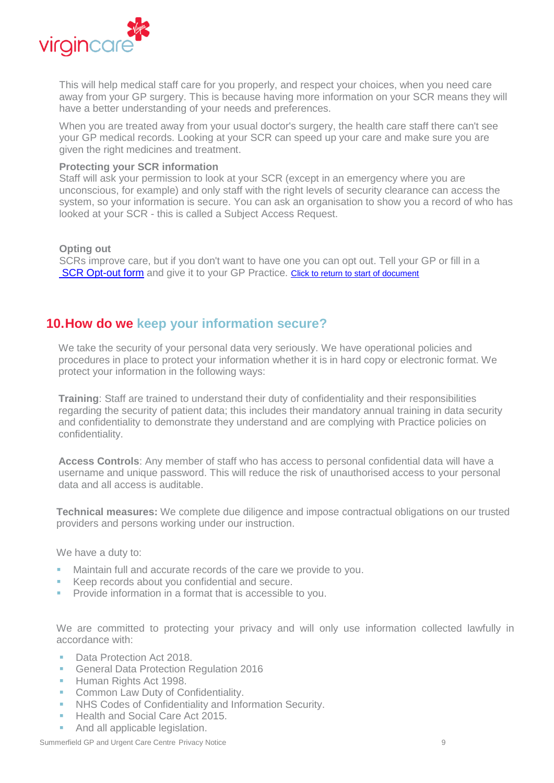

This will help medical staff care for you properly, and respect your choices, when you need care away from your GP surgery. This is because having more information on your SCR means they will have a better understanding of your needs and preferences.

When you are treated away from your usual doctor's surgery, the health care staff there can't see your GP medical records. Looking at your SCR can speed up your care and make sure you are given the right medicines and treatment.

#### **Protecting your SCR information**

Staff will ask your permission to look at your SCR (except in an emergency where you are unconscious, for example) and only staff with the right levels of security clearance can access the system, so your information is secure. You can ask an organisation to show you a record of who has looked at your SCR - this is called a Subject Access Request.

**Opting out** SCRs improve care, but if you don't want to have one you can opt out. Tell your GP or fill in a [SCR Opt-out form](https://digital.nhs.uk/services/summary-care-records-scr/summary-care-records-scr-information-for-patients#opting-out) and give it to your GP Practice. Click to return to start of document

### <span id="page-8-0"></span>**10.How do we keep your information secure?**

We take the security of your personal data very seriously. We have operational policies and procedures in place to protect your information whether it is in hard copy or electronic format. We protect your information in the following ways:

**Training**: Staff are trained to understand their duty of confidentiality and their responsibilities regarding the security of patient data; this includes their mandatory annual training in data security and confidentiality to demonstrate they understand and are complying with Practice policies on confidentiality.

**Access Controls**: Any member of staff who has access to personal confidential data will have a username and unique password. This will reduce the risk of unauthorised access to your personal data and all access is auditable.

**Technical measures:** We complete due diligence and impose contractual obligations on our trusted providers and persons working under our instruction.

We have a duty to:

- **Maintain full and accurate records of the care we provide to you.**
- Keep records about you confidential and secure.
- Provide information in a format that is accessible to you.

We are committed to protecting your privacy and will only use information collected lawfully in accordance with:

- Data Protection Act 2018.
- **General Data Protection Regulation 2016**
- **Human Rights Act 1998.**
- **Common Law Duty of Confidentiality.**
- NHS Codes of Confidentiality and Information Security.
- Health and Social Care Act 2015.
- And all applicable legislation.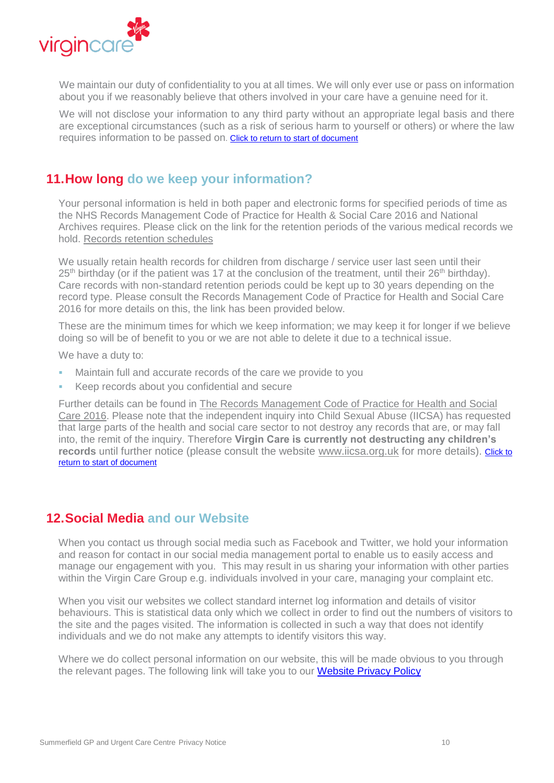

We maintain our duty of confidentiality to you at all times. We will only ever use or pass on information about you if we reasonably believe that others involved in your care have a genuine need for it.

We will not disclose your information to any third party without an appropriate legal basis and there are exceptional circumstances (such as a risk of serious harm to yourself or others) or where the law requires information to be passed on. [Click to return to start of document](#page-0-0)

### <span id="page-9-0"></span>**11.How long do we keep your information?**

Your personal information is held in both paper and electronic forms for specified periods of time as the NHS Records Management Code of Practice for Health & Social Care 2016 and National Archives requires. Please click on the link for the retention periods of the various medical records we hold. [Records retention schedules](https://digital.nhs.uk/data-and-information/looking-after-information/data-security-and-information-governance/codes-of-practice-for-handling-information-in-health-and-care/records-management-code-of-practice-for-health-and-social-care-2016)

We usually retain health records for children from discharge / service user last seen until their  $25<sup>th</sup>$  birthday (or if the patient was 17 at the conclusion of the treatment, until their  $26<sup>th</sup>$  birthday). Care records with non-standard retention periods could be kept up to 30 years depending on the record type. Please consult the Records Management Code of Practice for Health and Social Care 2016 for more details on this, the link has been provided below.

These are the minimum times for which we keep information; we may keep it for longer if we believe doing so will be of benefit to you or we are not able to delete it due to a technical issue.

We have a duty to:

- Maintain full and accurate records of the care we provide to you
- Keep records about you confidential and secure

Further details can be found in [The Records Management Code of Practice for Health and Social](https://digital.nhs.uk/data-and-information/looking-after-information/data-security-and-information-governance/codes-of-practice-for-handling-information-in-health-and-care/records-management-code-of-practice-for-health-and-social-care-2016)  [Care 2016.](https://digital.nhs.uk/data-and-information/looking-after-information/data-security-and-information-governance/codes-of-practice-for-handling-information-in-health-and-care/records-management-code-of-practice-for-health-and-social-care-2016) Please note that the independent inquiry into Child Sexual Abuse (IICSA) has requested that large parts of the health and social care sector to not destroy any records that are, or may fall into, the remit of the inquiry. Therefore **Virgin Care is currently not destructing any children's**  records until further notice (please consult the website [www.iicsa.org.uk](http://www.iicsa.org.uk/) for more details). Click to [return to start of document](#page-0-0) 

### <span id="page-9-1"></span>**12.Social Media and our Website**

When you contact us through social media such as Facebook and Twitter, we hold your information and reason for contact in our social media management portal to enable us to easily access and manage our engagement with you. This may result in us sharing your information with other parties within the Virgin Care Group e.g. individuals involved in your care, managing your complaint etc.

When you visit our websites we collect standard internet log information and details of visitor behaviours. This is statistical data only which we collect in order to find out the numbers of visitors to the site and the pages visited. The information is collected in such a way that does not identify individuals and we do not make any attempts to identify visitors this way.

Where we do collect personal information on our website, this will be made obvious to you through the relevant pages. The following link will take you to our [Website Privacy Policy](http://www.summerfieldgpucc.nhs.uk/privacy-policy/)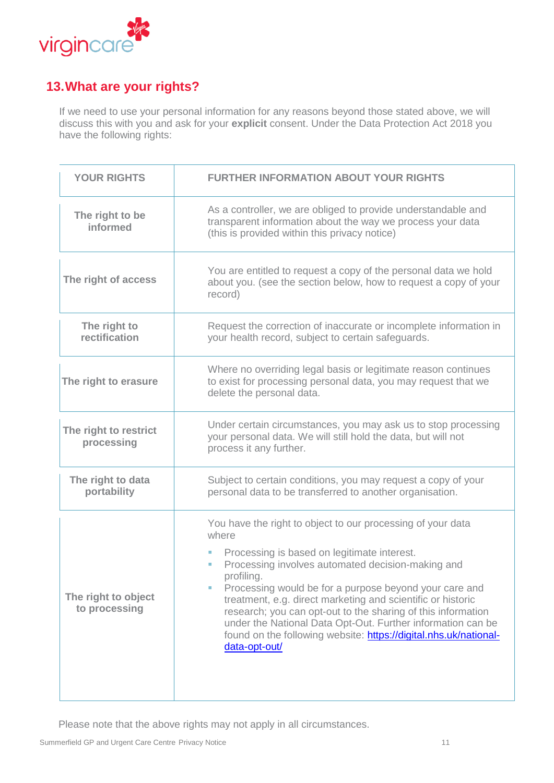

## <span id="page-10-0"></span>**13.What are your rights?**

If we need to use your personal information for any reasons beyond those stated above, we will discuss this with you and ask for your **explicit** consent. Under the Data Protection Act 2018 you have the following rights:

| <b>YOUR RIGHTS</b>                   | <b>FURTHER INFORMATION ABOUT YOUR RIGHTS</b>                                                                                                                                                                                                                                                                                                                                                                                                                                                                                        |
|--------------------------------------|-------------------------------------------------------------------------------------------------------------------------------------------------------------------------------------------------------------------------------------------------------------------------------------------------------------------------------------------------------------------------------------------------------------------------------------------------------------------------------------------------------------------------------------|
| The right to be<br>informed          | As a controller, we are obliged to provide understandable and<br>transparent information about the way we process your data<br>(this is provided within this privacy notice)                                                                                                                                                                                                                                                                                                                                                        |
| The right of access                  | You are entitled to request a copy of the personal data we hold<br>about you. (see the section below, how to request a copy of your<br>record)                                                                                                                                                                                                                                                                                                                                                                                      |
| The right to<br>rectification        | Request the correction of inaccurate or incomplete information in<br>your health record, subject to certain safeguards.                                                                                                                                                                                                                                                                                                                                                                                                             |
| The right to erasure                 | Where no overriding legal basis or legitimate reason continues<br>to exist for processing personal data, you may request that we<br>delete the personal data.                                                                                                                                                                                                                                                                                                                                                                       |
| The right to restrict<br>processing  | Under certain circumstances, you may ask us to stop processing<br>your personal data. We will still hold the data, but will not<br>process it any further.                                                                                                                                                                                                                                                                                                                                                                          |
| The right to data<br>portability     | Subject to certain conditions, you may request a copy of your<br>personal data to be transferred to another organisation.                                                                                                                                                                                                                                                                                                                                                                                                           |
| The right to object<br>to processing | You have the right to object to our processing of your data<br>where<br>Processing is based on legitimate interest.<br>Processing involves automated decision-making and<br>profiling.<br>Processing would be for a purpose beyond your care and<br>treatment, e.g. direct marketing and scientific or historic<br>research; you can opt-out to the sharing of this information<br>under the National Data Opt-Out. Further information can be<br>found on the following website: https://digital.nhs.uk/national-<br>data-opt-out/ |

Please note that the above rights may not apply in all circumstances.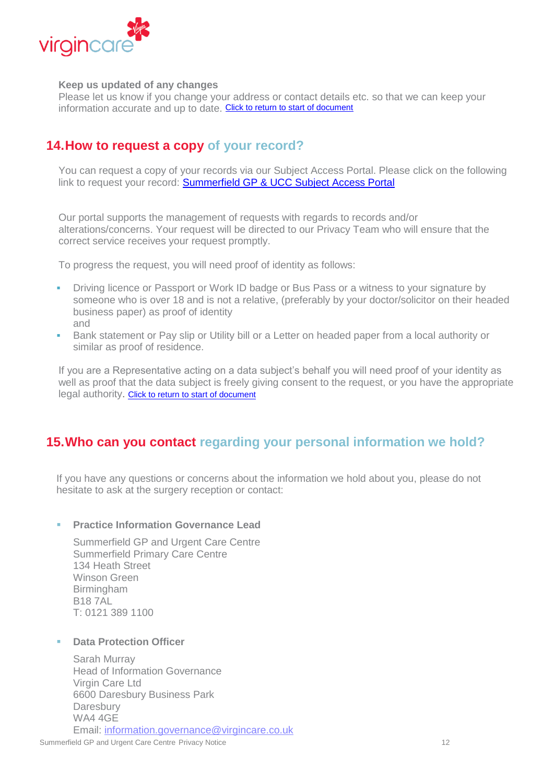

#### **Keep us updated of any changes**

Please let us know if you change your address or contact details etc. so that we can keep your information accurate and up to date. Click to return to start of document

### <span id="page-11-1"></span>**14.How to request a copy of your record?**

You can request a copy of your records via our Subject Access Portal. Please click on the following link to request your record: [Summerfield GP & UCC Subject Access Portal](https://app-de.onetrust.com/app/#/webform/12a82a1b-a3cd-47e1-b3c1-9b4608d8e441)

Our portal supports the management of requests with regards to records and/or alterations/concerns. Your request will be directed to our Privacy Team who will ensure that the correct service receives your request promptly.

To progress the request, you will need proof of identity as follows:

- Driving licence or Passport or Work ID badge or Bus Pass or a witness to your signature by someone who is over 18 and is not a relative, (preferably by your doctor/solicitor on their headed business paper) as proof of identity and
- Bank statement or Pay slip or Utility bill or a Letter on headed paper from a local authority or similar as proof of residence.

If you are a Representative acting on a data subject's behalf you will need proof of your identity as well as proof that the data subject is freely giving consent to the request, or you have the appropriate legal authority. [Click to return to start of document](#page-0-0)

### <span id="page-11-0"></span>**15.Who can you contact regarding your personal information we hold?**

If you have any questions or concerns about the information we hold about you, please do not hesitate to ask at the surgery reception or contact:

#### **Practice Information Governance Lead**

Summerfield GP and Urgent Care Centre Summerfield Primary Care Centre 134 Heath Street Winson Green Birmingham B18 7AL T: 0121 389 1100

#### **Data Protection Officer**

Sarah Murray Head of Information Governance Virgin Care Ltd 6600 Daresbury Business Park **Daresbury** WA4 4GE Email: [information.governance@virgincare.co.uk](mailto:information.governance@virgincare.co.uk)